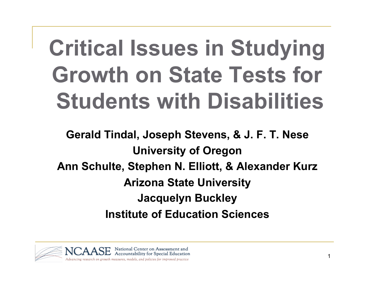# **Critical Issues in Studying Growth on State Tests for Students with Disabilities**

**Gerald Tindal, Joseph Stevens, & J. F. T. Nese University of Oregon Ann Schulte, Stephen N. Elliott, & Alexander Kurz Arizona State University Jacquelyn Buckley Institute of Education Sciences** 

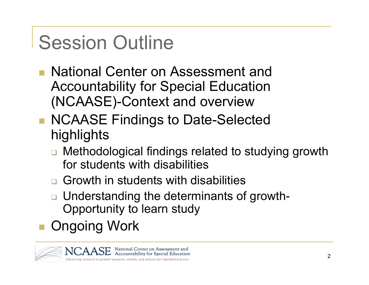# Session Outline

- National Center on Assessment and Accountability for Special Education (NCAASE)-Context and overview
- NCAASE Findings to Date-Selected highlights
	- Methodological findings related to studying growth for students with disabilities
	- **□ Growth in students with disabilities**
	- **□** Understanding the determinants of growth-Opportunity to learn study
- Ongoing Work

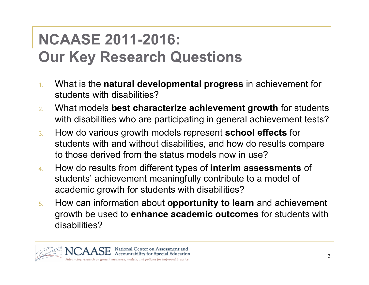#### **NCAASE 2011-2016: Our Key Research Questions**

- 1. What is the **natural developmental progress** in achievement for students with disabilities?
- 2. What models **best characterize achievement growth** for students with disabilities who are participating in general achievement tests?
- 3. How do various growth models represent **school effects** for students with and without disabilities, and how do results compare to those derived from the status models now in use?
- 4. How do results from different types of **interim assessments** of students' achievement meaningfully contribute to a model of academic growth for students with disabilities?
- 5. How can information about **opportunity to learn** and achievement growth be used to **enhance academic outcomes** for students with disabilities?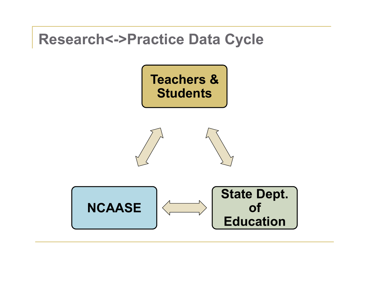

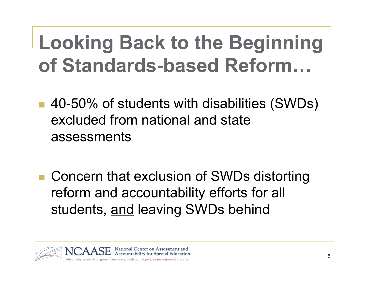## **Looking Back to the Beginning of Standards-based Reform…**

- 40-50% of students with disabilities (SWDs) excluded from national and state assessments
- Concern that exclusion of SWDs distorting reform and accountability efforts for all students, and leaving SWDs behind

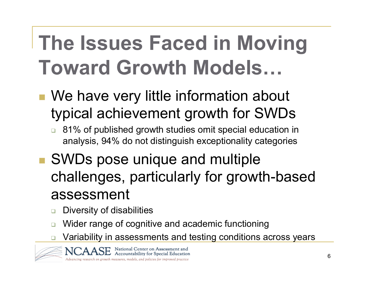# **The Issues Faced in Moving Toward Growth Models…**

- We have very little information about typical achievement growth for SWDs
	- □ 81% of published growth studies omit special education in analysis, 94% do not distinguish exceptionality categories
- SWDs pose unique and multiple challenges, particularly for growth-based assessment
	- **Diversity of disabilities**
	- Wider range of cognitive and academic functioning
	- Variability in assessments and testing conditions across years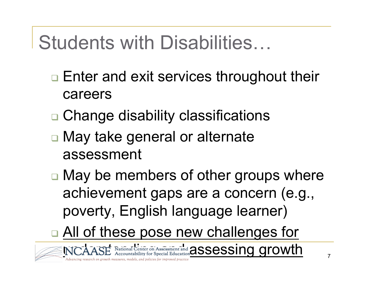### Students with Disabilities…

- □ Enter and exit services throughout their careers
- **□ Change disability classifications**
- □ May take general or alternate assessment
- □ May be members of other groups where achievement gaps are a concern (e.g., poverty, English language learner)
- □ All of these pose new challenges for

NCAASE National Center on Assessment and **assessment and assessing growth**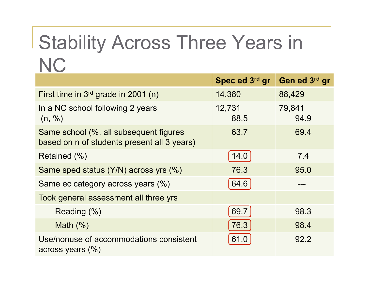### Stability Across Three Years in **NC**

|                                                                                       | Spec ed 3rd gr | Gen ed 3rd gr  |
|---------------------------------------------------------------------------------------|----------------|----------------|
| First time in $3rd$ grade in 2001 (n)                                                 | 14,380         | 88,429         |
| In a NC school following 2 years<br>(n, %)                                            | 12,731<br>88.5 | 79,841<br>94.9 |
| Same school (%, all subsequent figures<br>based on n of students present all 3 years) | 63.7           | 69.4           |
| Retained $(\% )$                                                                      | 14.0           | 7.4            |
| Same sped status (Y/N) across yrs (%)                                                 | 76.3           | 95.0           |
| Same ec category across years (%)                                                     | 64.6           |                |
| Took general assessment all three yrs                                                 |                |                |
| Reading (%)                                                                           | 69.7           | 98.3           |
| Math $(\%)$                                                                           | 76.3           | 98.4           |
| Use/nonuse of accommodations consistent<br>across years $(\%)$                        | 61.0           | 92.2           |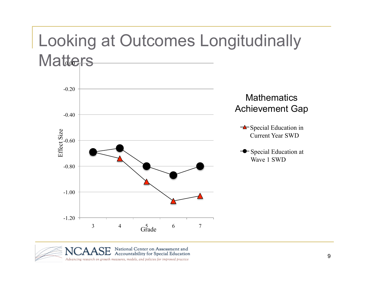#### Looking at Outcomes Longitudinally Matters -1.00 -0.80 Effect Size<br>
e.c.c.c. -0.40 -0.20 Effect Size  $\triangle$  Special Education in Current Year SWD **Special Education at** Wave 1 SWD **Mathematics** Achievement Gap



 $3$  4  $6$  6 7

-1.20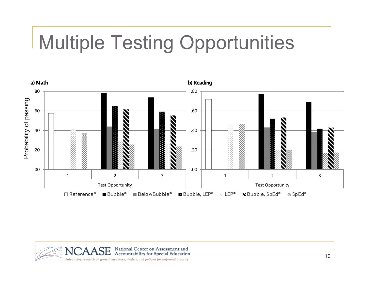# Multiple Testing Opportunities



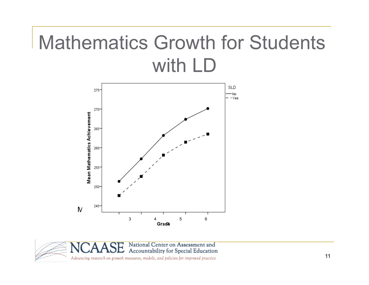### Mathematics Growth for Students with LD



National Center on Assessment and Accountability for Special Education Advancing research on growth measures, models, and policies for improved practice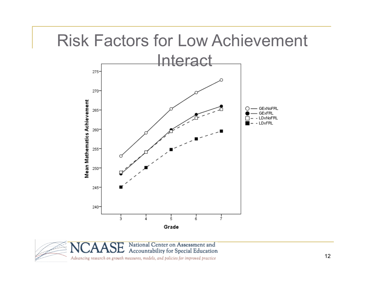### Risk Factors for Low Achievement



National Center on Assessment and Accountability for Special Education

Advancing research on growth measures, models, and policies for improved practice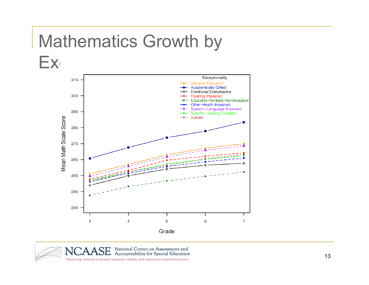### Mathematics Growth by



National Center on Assessment and Accountability for Special Education Advancing research on growth measures, models, and policies for improved practice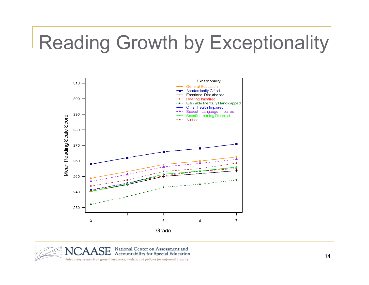### Reading Growth by Exceptionality



National Center on Assessment and Accountability for Special Education Advancing research on growth measures, models, and policies for improved practice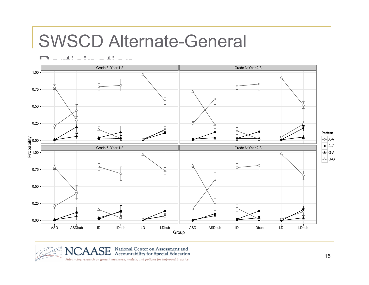#### SWSCD Alternate-General



National Center on Assessment and<br>Accountability for Special Education Advancing research on growth measures, models, and policies for improved practice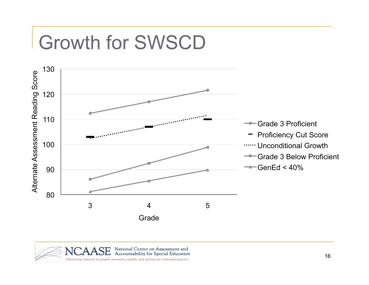## Growth for SWSCD

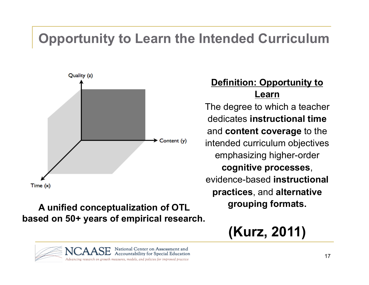#### **Opportunity to Learn the Intended Curriculum**



#### **A unified conceptualization of OTL based on 50+ years of empirical research.**

#### **Definition: Opportunity to Learn**

The degree to which a teacher dedicates **instructional time**  and **content coverage** to the intended curriculum objectives emphasizing higher-order **cognitive processes**, evidence-based **instructional practices**, and **alternative grouping formats.** 

#### **(Kurz, 2011)**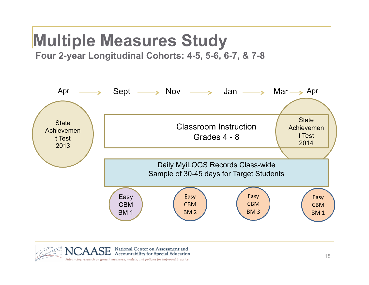### **Multiple Measures Study**

 **Four 2-year Longitudinal Cohorts: 4-5, 5-6, 6-7, & 7-8** 



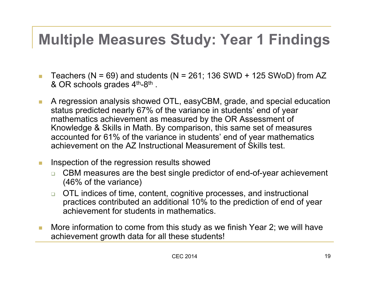#### **Multiple Measures Study: Year 1 Findings**

- Teachers ( $N = 69$ ) and students ( $N = 261$ ; 136 SWD + 125 SWoD) from AZ & OR schools grades  $4<sup>th</sup>-8<sup>th</sup>$ .
- A regression analysis showed OTL, easyCBM, grade, and special education status predicted nearly 67% of the variance in students' end of year mathematics achievement as measured by the OR Assessment of Knowledge & Skills in Math. By comparison, this same set of measures accounted for 61% of the variance in students' end of year mathematics achievement on the AZ Instructional Measurement of Skills test.
- **Inspection of the regression results showed** 
	- □ CBM measures are the best single predictor of end-of-year achievement (46% of the variance)
	- □ OTL indices of time, content, cognitive processes, and instructional practices contributed an additional 10% to the prediction of end of year achievement for students in mathematics.
- **More information to come from this study as we finish Year 2; we will have** achievement growth data for all these students!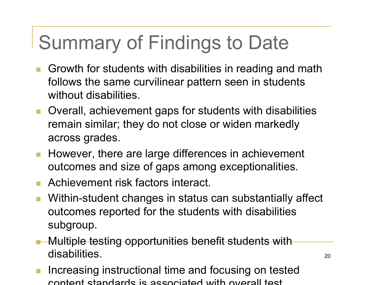## Summary of Findings to Date

- Growth for students with disabilities in reading and math follows the same curvilinear pattern seen in students without disabilities.
- Overall, achievement gaps for students with disabilities remain similar; they do not close or widen markedly across grades.
- **However, there are large differences in achievement** outcomes and size of gaps among exceptionalities.
- Achievement risk factors interact.
- Within-student changes in status can substantially affect outcomes reported for the students with disabilities subgroup.
- **Multiple testing opportunities benefit students with** disabilities.
- Increasing instructional time and focusing on tested content standards is associated with overall test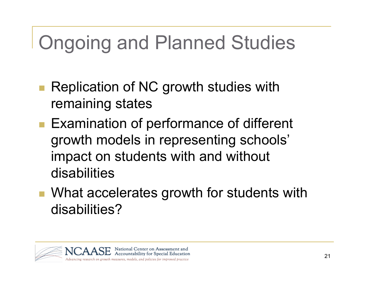# Ongoing and Planned Studies

- Replication of NC growth studies with remaining states
- Examination of performance of different growth models in representing schools' impact on students with and without disabilities
- What accelerates growth for students with disabilities?

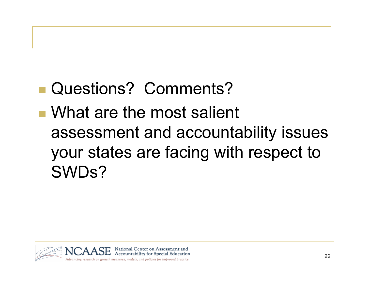### Questions? Comments?

 What are the most salient assessment and accountability issues your states are facing with respect to SWDs?